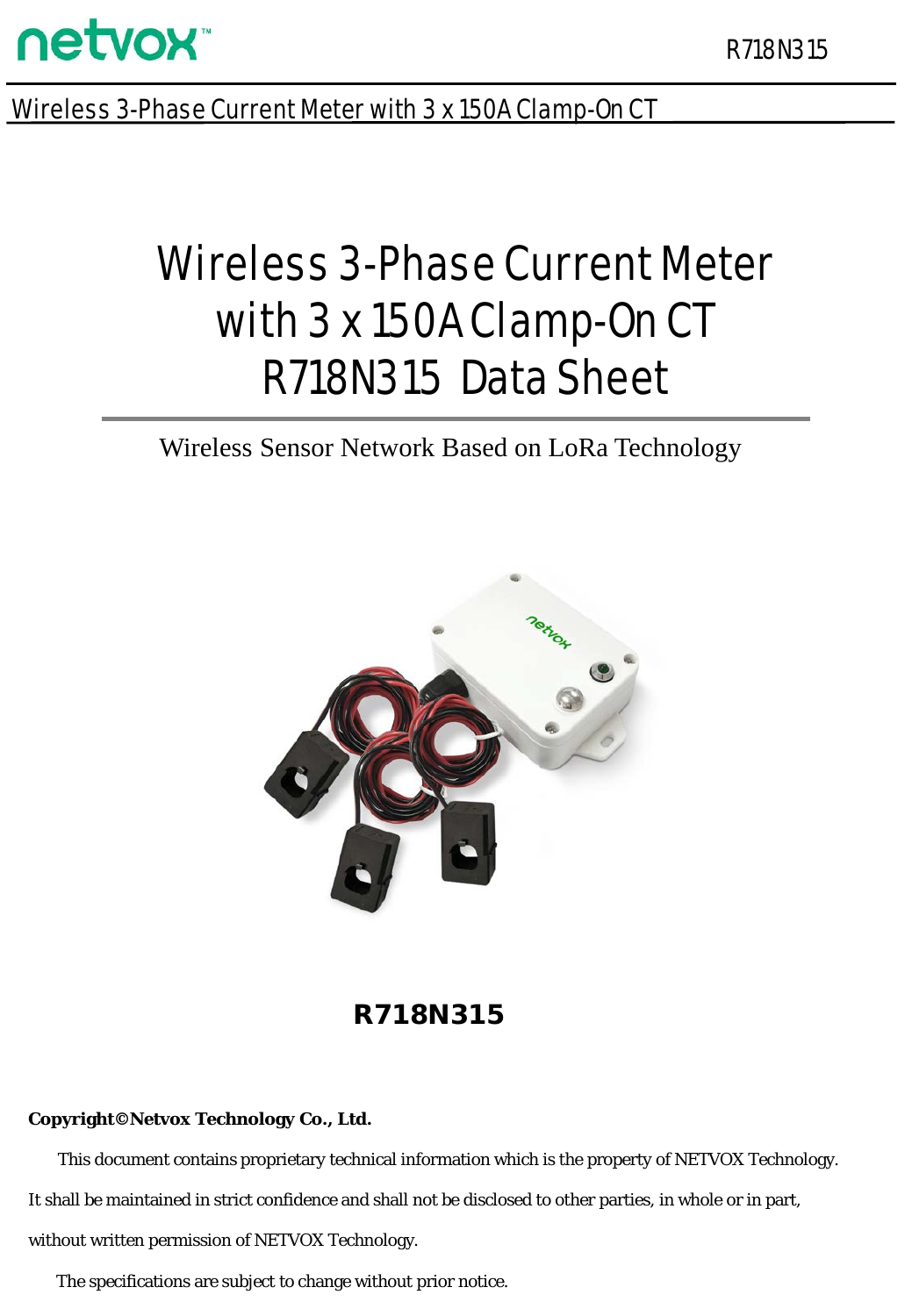

Wireless 3-Phase Current Meter with 3 x 150A Clamp-On CT

# Wireless 3-Phase Current Meter with 3 x 150A Clamp-On CT R718N315 Data Sheet

Wireless Sensor Network Based on LoRa Technology



R718N315

#### **Copyright©Netvox Technology Co., Ltd.**

This document contains proprietary technical information which is the property of NETVOX Technology. It shall be maintained in strict confidence and shall not be disclosed to other parties, in whole or in part, without written permission of NETVOX Technology.

The specifications are subject to change without prior notice.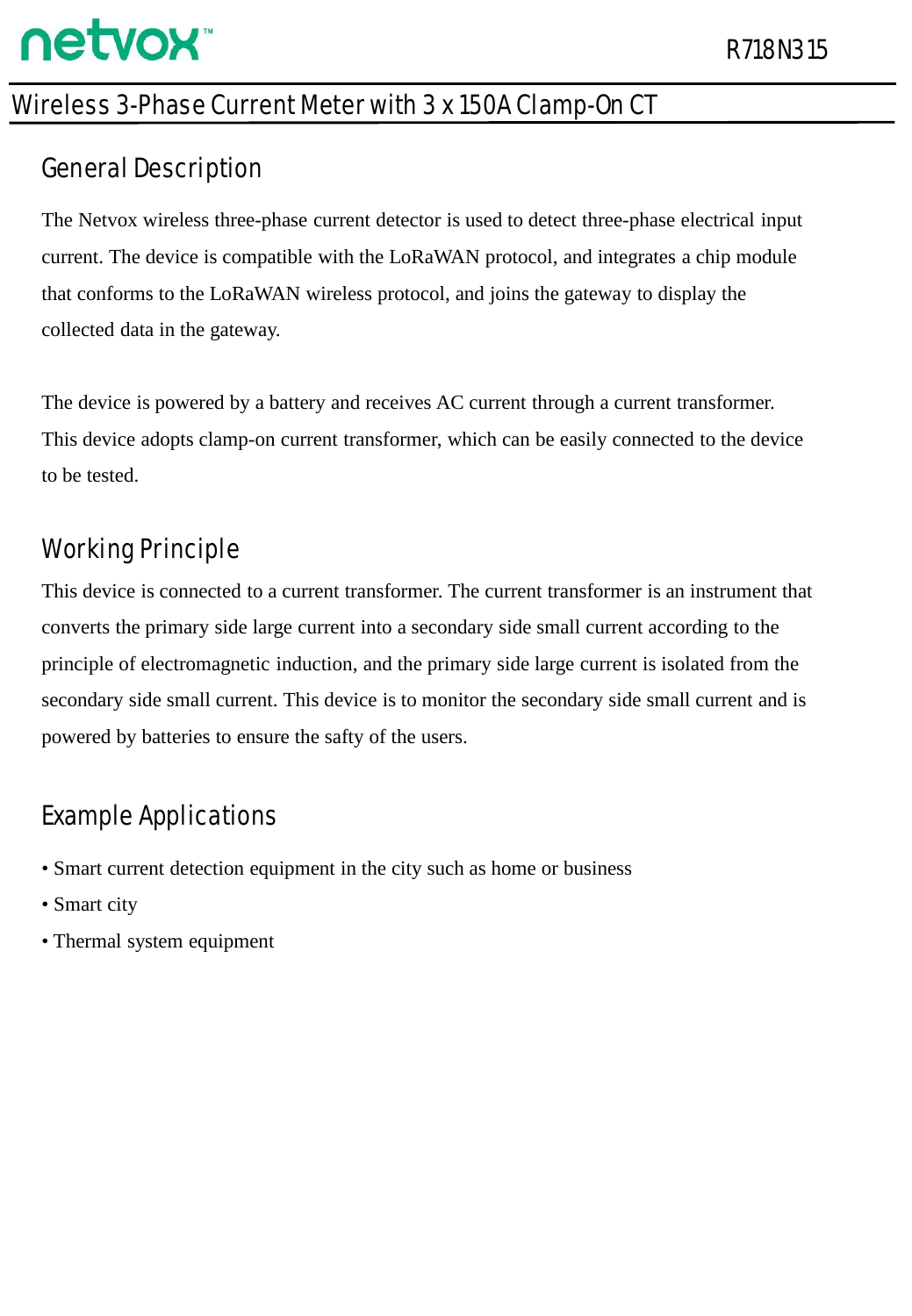### Wireless 3-Phase Current Meter with 3 x 150A Clamp-On CT

### General Description

The Netvox wireless three-phase current detector is used to detect three-phase electrical input current. The device is compatible with the LoRaWAN protocol, and integrates a chip module that conforms to the LoRaWAN wireless protocol, and joins the gateway to display the collected data in the gateway.

The device is powered by a battery and receives AC current through a current transformer. This device adopts clamp-on current transformer, which can be easily connected to the device to be tested.

## Working Principle

This device is connected to a current transformer. The current transformer is an instrument that converts the primary side large current into a secondary side small current according to the principle of electromagnetic induction, and the primary side large current is isolated from the secondary side small current. This device is to monitor the secondary side small current and is powered by batteries to ensure the safty of the users.

## Example Applications

- Smart current detection equipment in the city such as home or business
- Smart city
- Thermal system equipment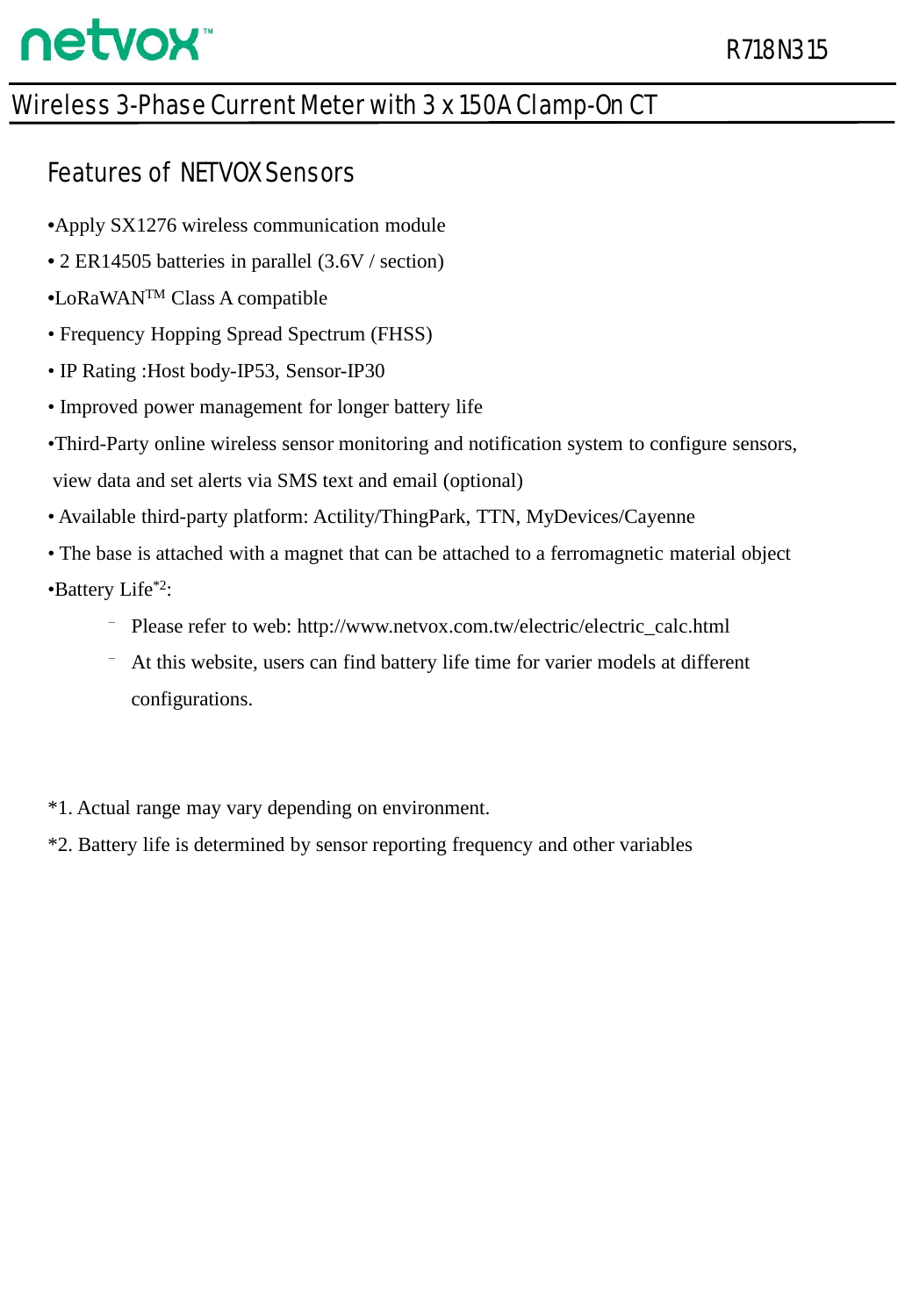### Wireless 3-Phase Current Meter with 3 x 150A Clamp-On CT

#### Features of NETVOX Sensors

- •Apply SX1276 wireless communication module
- 2 ER14505 batteries in parallel (3.6V / section)
- •LoRaWANTM Class A compatible
- Frequency Hopping Spread Spectrum (FHSS)
- IP Rating :Host body-IP53, Sensor-IP30
- Improved power management for longer battery life
- •Third-Party online wireless sensor monitoring and notification system to configure sensors, view data and set alerts via SMS text and email (optional)
- Available third-party platform: Actility/ThingPark, TTN, MyDevices/Cayenne
- The base is attached with a magnet that can be attached to a ferromagnetic material object •Battery Life\*2:
	- Please refer to web: http://www.netvox.com.tw/electric/electric\_calc.html
	- ⁻ At this website, users can find battery life time for varier models at different configurations.
- \*1. Actual range may vary depending on environment.
- \*2. Battery life is determined by sensor reporting frequency and other variables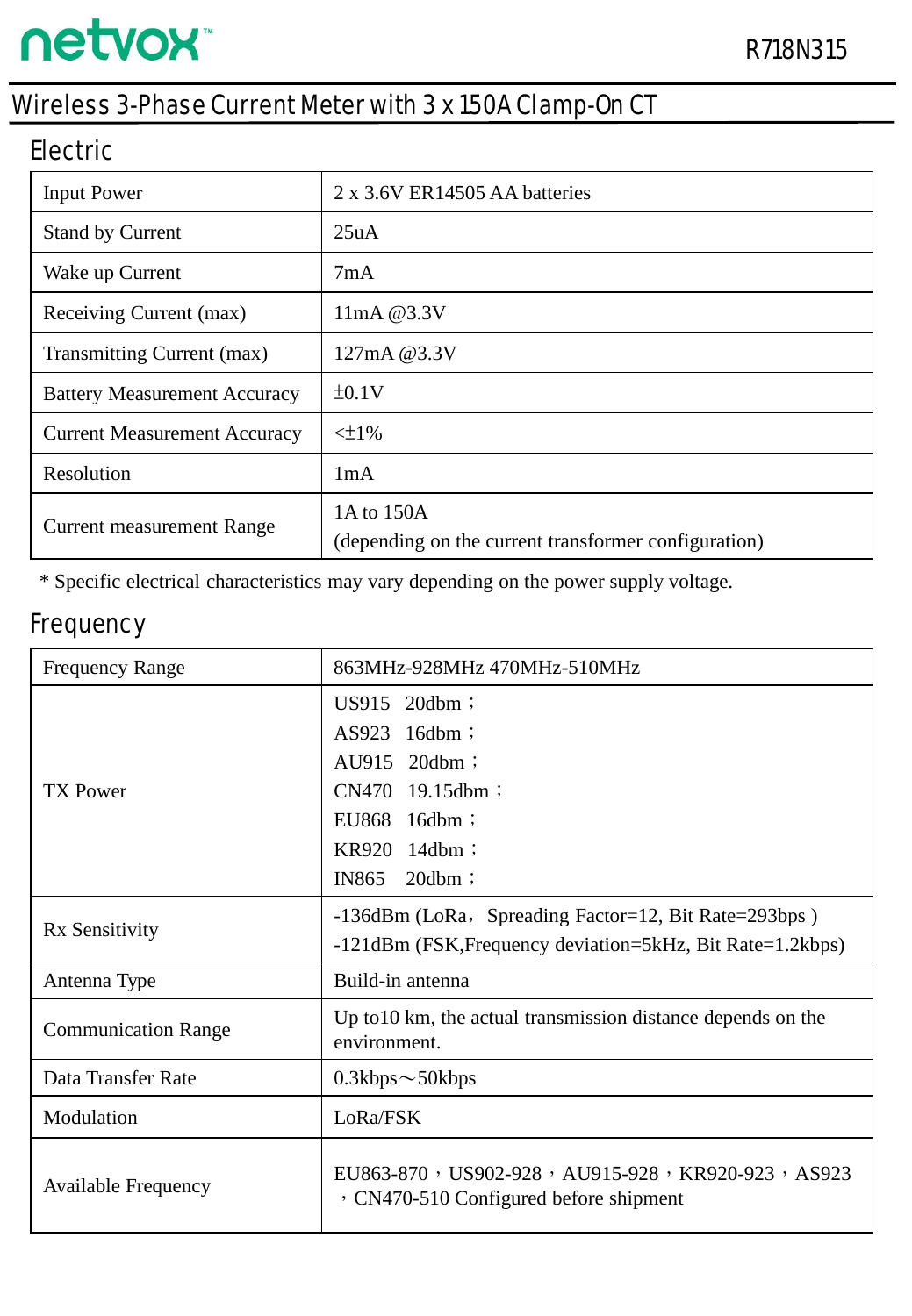### Wireless 3-Phase Current Meter with 3 x 150A Clamp-On CT

#### Electric

| <b>Input Power</b>                  | 2 x 3.6V ER14505 AA batteries                                      |  |  |
|-------------------------------------|--------------------------------------------------------------------|--|--|
| <b>Stand by Current</b>             | 25uA                                                               |  |  |
| Wake up Current                     | 7mA                                                                |  |  |
| Receiving Current (max)             | $11mA$ @ $3.3V$                                                    |  |  |
| Transmitting Current (max)          | 127mA @3.3V                                                        |  |  |
| <b>Battery Measurement Accuracy</b> | ±0.1V                                                              |  |  |
| <b>Current Measurement Accuracy</b> | $\leq$ 1%                                                          |  |  |
| Resolution                          | 1mA                                                                |  |  |
| <b>Current measurement Range</b>    | 1A to 150A<br>(depending on the current transformer configuration) |  |  |

\* Specific electrical characteristics may vary depending on the power supply voltage.

#### **Frequency**

| <b>Frequency Range</b>     | 863MHz-928MHz 470MHz-510MHz                                                                 |  |  |  |  |
|----------------------------|---------------------------------------------------------------------------------------------|--|--|--|--|
| <b>TX Power</b>            | US915 20dbm;<br>AS923<br>$16dbm$ ;                                                          |  |  |  |  |
|                            | AU915 20dbm;                                                                                |  |  |  |  |
|                            | CN470 19.15dbm;                                                                             |  |  |  |  |
|                            | EU868 16dbm;                                                                                |  |  |  |  |
|                            | KR920 14dbm;                                                                                |  |  |  |  |
|                            | IN865<br>$20dbm$ ;                                                                          |  |  |  |  |
| Rx Sensitivity             | -136dBm (LoRa, Spreading Factor=12, Bit Rate=293bps)                                        |  |  |  |  |
|                            | -121dBm (FSK, Frequency deviation=5kHz, Bit Rate=1.2kbps)                                   |  |  |  |  |
| Antenna Type               | Build-in antenna                                                                            |  |  |  |  |
| <b>Communication Range</b> | Up to 10 km, the actual transmission distance depends on the<br>environment.                |  |  |  |  |
| Data Transfer Rate         | $0.3kbps \sim 50kbps$                                                                       |  |  |  |  |
| Modulation                 | LoRa/FSK                                                                                    |  |  |  |  |
| <b>Available Frequency</b> | EU863-870, US902-928, AU915-928, KR920-923, AS923<br>, CN470-510 Configured before shipment |  |  |  |  |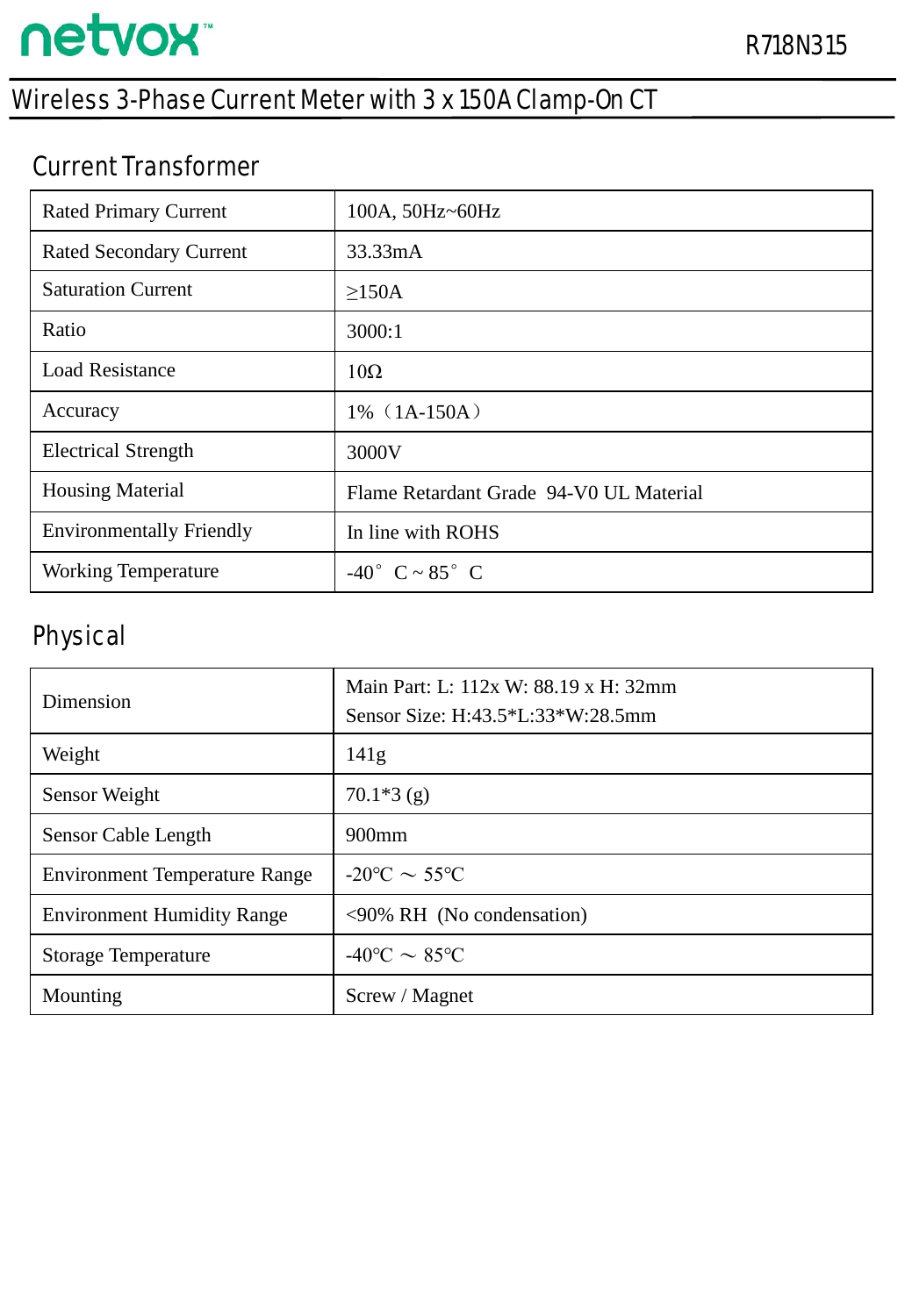# Wireless 3-Phase Current Meter with 3 x 150A Clamp-On CT

### Current Transformer

| <b>Rated Primary Current</b>    | 100A, 50Hz~60Hz                         |
|---------------------------------|-----------------------------------------|
| <b>Rated Secondary Current</b>  | 33.33mA                                 |
| <b>Saturation Current</b>       | >150A                                   |
| Ratio                           | 3000:1                                  |
| <b>Load Resistance</b>          | $10\Omega$                              |
| Accuracy                        | $1\%$ (1A-150A)                         |
| <b>Electrical Strength</b>      | 3000V                                   |
| <b>Housing Material</b>         | Flame Retardant Grade 94-V0 UL Material |
| <b>Environmentally Friendly</b> | In line with ROHS                       |
| <b>Working Temperature</b>      | $-40^{\circ}$ C ~ 85° C                 |

### Physical

| Dimension                            | Main Part: L: 112x W: 88.19 x H: 32mm<br>Sensor Size: H:43.5*L:33*W:28.5mm |  |  |
|--------------------------------------|----------------------------------------------------------------------------|--|--|
| Weight                               | 141g                                                                       |  |  |
| Sensor Weight                        | $70.1*3(g)$                                                                |  |  |
| Sensor Cable Length                  | $900$ mm                                                                   |  |  |
| <b>Environment Temperature Range</b> | $-20\degree C \sim 55\degree C$                                            |  |  |
| <b>Environment Humidity Range</b>    | $\leq 90\%$ RH (No condensation)                                           |  |  |
| <b>Storage Temperature</b>           | $-40^{\circ}$ C $\sim 85^{\circ}$ C                                        |  |  |
| Mounting                             | Screw / Magnet                                                             |  |  |